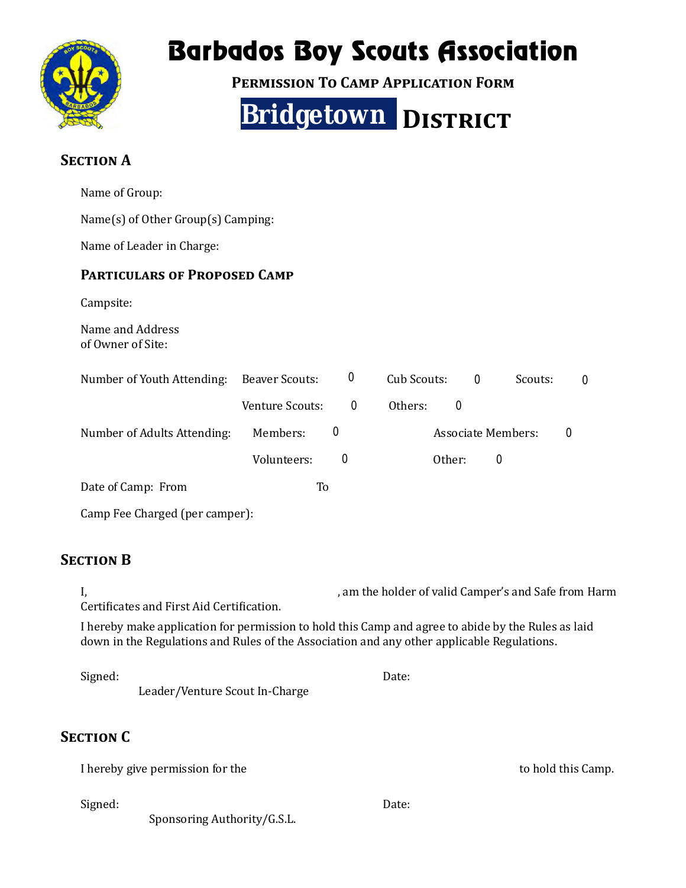

## Barbados Boy Scouts Association

**PERMISSION TO CAMP APPLICATION FORM** 



## **SECTION A**

| Name of Group:                                                                                                                                                                                   |                                                                                                   |             |             |             |                           |                    |  |
|--------------------------------------------------------------------------------------------------------------------------------------------------------------------------------------------------|---------------------------------------------------------------------------------------------------|-------------|-------------|-------------|---------------------------|--------------------|--|
| Name(s) of Other Group(s) Camping:                                                                                                                                                               |                                                                                                   |             |             |             |                           |                    |  |
| Name of Leader in Charge:                                                                                                                                                                        |                                                                                                   |             |             |             |                           |                    |  |
| <b>PARTICULARS OF PROPOSED CAMP</b>                                                                                                                                                              |                                                                                                   |             |             |             |                           |                    |  |
| Campsite:                                                                                                                                                                                        |                                                                                                   |             |             |             |                           |                    |  |
| Name and Address<br>of Owner of Site:                                                                                                                                                            |                                                                                                   |             |             |             |                           |                    |  |
| Number of Youth Attending:                                                                                                                                                                       | <b>Beaver Scouts:</b>                                                                             | 0           | Cub Scouts: | $\mathbf 0$ | Scouts:                   | 0                  |  |
|                                                                                                                                                                                                  | Venture Scouts:                                                                                   | $\mathbf 0$ | Others:     | $\mathbf 0$ |                           |                    |  |
| Number of Adults Attending:                                                                                                                                                                      | Members:                                                                                          | $\mathbf 0$ |             |             | <b>Associate Members:</b> | $\mathbf 0$        |  |
|                                                                                                                                                                                                  | Volunteers:                                                                                       | 0           |             | Other:      | $\mathbf 0$               |                    |  |
| Date of Camp: From                                                                                                                                                                               | To                                                                                                |             |             |             |                           |                    |  |
| Camp Fee Charged (per camper):                                                                                                                                                                   |                                                                                                   |             |             |             |                           |                    |  |
| <b>SECTION B</b>                                                                                                                                                                                 |                                                                                                   |             |             |             |                           |                    |  |
| I,                                                                                                                                                                                               | , am the holder of valid Camper's and Safe from Harm<br>Certificates and First Aid Certification. |             |             |             |                           |                    |  |
| I hereby make application for permission to hold this Camp and agree to abide by the Rules as laid<br>down in the Regulations and Rules of the Association and any other applicable Regulations. |                                                                                                   |             |             |             |                           |                    |  |
| Signed:<br>Leader/Venture Scout In-Charge                                                                                                                                                        |                                                                                                   |             | Date:       |             |                           |                    |  |
| <b>SECTION C</b>                                                                                                                                                                                 |                                                                                                   |             |             |             |                           |                    |  |
| I hereby give permission for the                                                                                                                                                                 |                                                                                                   |             |             |             |                           | to hold this Camp. |  |
| Signed:<br>Sponsoring Authority/G.S.L.                                                                                                                                                           |                                                                                                   |             | Date:       |             |                           |                    |  |